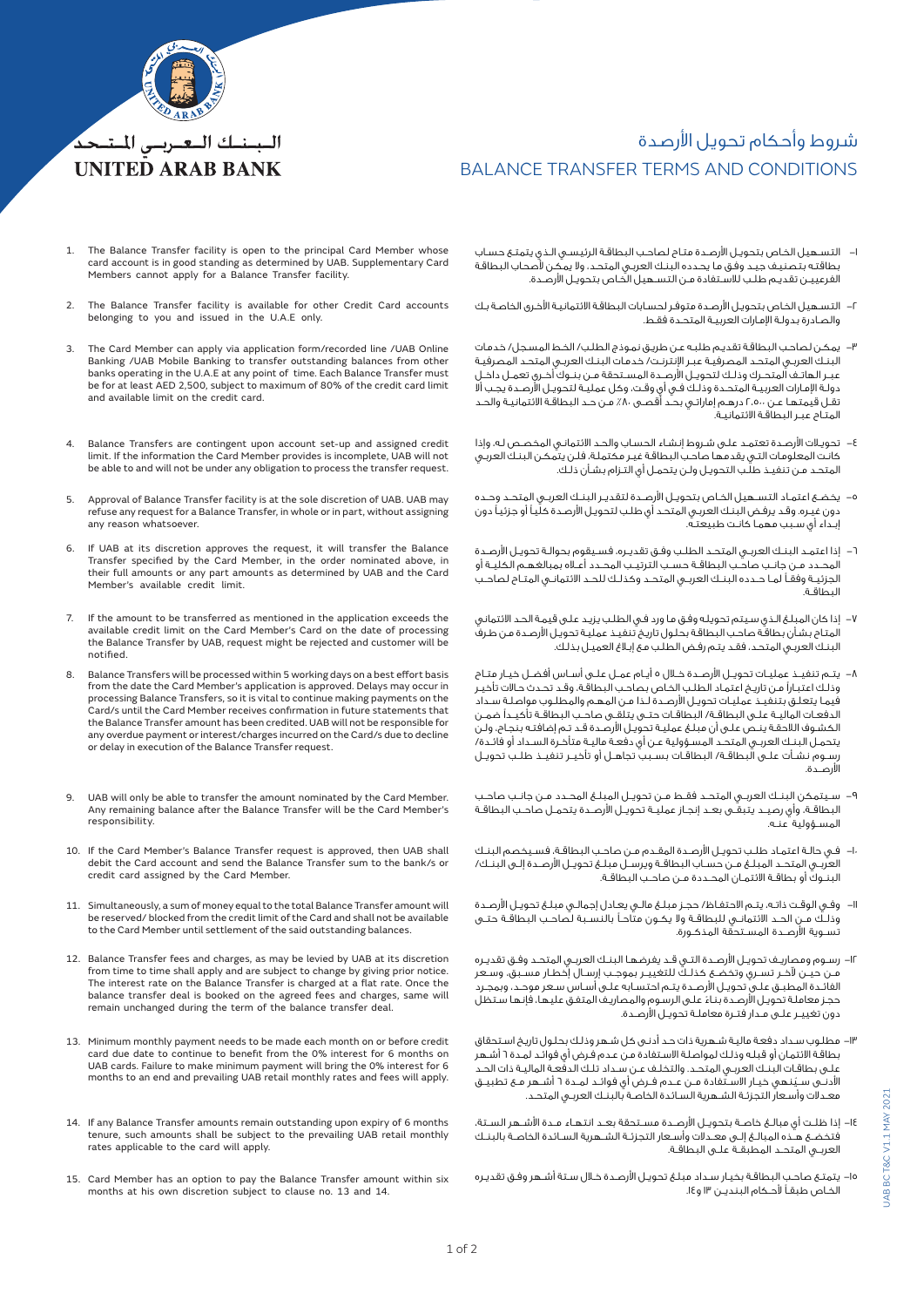

1. The Balance Transfer facility is open to the principal Card Member whose card account is in good standing as determined by UAB. Supplementary Card Members cannot apply for a Balance Transfer facility.

الببنك البعيريس المتحد **UNITED ARAB BANK** 

- 2. The Balance Transfer facility is available for other Credit Card accounts belonging to you and issued in the U.A.E only.
- The Card Member can apply via application form/recorded line /UAB Online Banking /UAB Mobile Banking to transfer outstanding balances from other banks operating in the U.A.E at any point of time. Each Balance Transfer must be for at least AED 2,500, subject to maximum of 80% of the credit card limit and available limit on the credit card.
- 4. Balance Transfers are contingent upon account set-up and assigned credit limit. If the information the Card Member provides is incomplete, UAB will not be able to and will not be under any obligation to process the transfer request.
- Approval of Balance Transfer facility is at the sole discretion of UAB. UAB may refuse any request for a Balance Transfer, in whole or in part, without assigning any reason whatsoever.
- If UAB at its discretion approves the request, it will transfer the Balance Transfer specified by the Card Member, in the order nominated above, in their full amounts or any part amounts as determined by UAB and the Card Member's available credit limit.
- 7. If the amount to be transferred as mentioned in the application exceeds the available credit limit on the Card Member's Card on the date of processing the Balance Transfer by UAB, request might be rejected and customer will be notified.
- 8. Balance Transfers will be processed within 5 working days on a best effort basis from the date the Card Member's application is approved. Delays may occur in processing Balance Transfers, so it is vital to continue making payments on the Card/s until the Card Member receives confirmation in future statements that the Balance Transfer amount has been credited. UAB will not be responsible for any overdue payment or interest/charges incurred on the Card/s due to decline or delay in execution of the Balance Transfer request.
- UAB will only be able to transfer the amount nominated by the Card Member. Any remaining balance after the Balance Transfer will be the Card Member's responsibility.
- 10. If the Card Member's Balance Transfer request is approved, then UAB shall debit the Card account and send the Balance Transfer sum to the bank/s or credit card assigned by the Card Member.
- 11. Simultaneously, a sum of money equal to the total Balance Transfer amount will be reserved/ blocked from the credit limit of the Card and shall not be available to the Card Member until settlement of the said outstanding balances.
- 12. Balance Transfer fees and charges, as may be levied by UAB at its discretion from time to time shall apply and are subject to change by giving prior notice. The interest rate on the Balance Transfer is charged at a flat rate. Once the balance transfer deal is booked on the agreed fees and charges, same will remain unchanged during the term of the balance transfer deal.
- 13. Minimum monthly payment needs to be made each month on or before credit card due date to continue to benefit from the 0% interest for 6 months on UAB cards. Failure to make minimum payment will bring the 0% interest for 6 months to an end and prevailing UAB retail monthly rates and fees will apply.
- 14. If any Balance Transfer amounts remain outstanding upon expiry of 6 months tenure, such amounts shall be subject to the prevailing UAB retail monthly rates applicable to the card will apply.
- 15. Card Member has an option to pay the Balance Transfer amount within six months at his own discretion subject to clause no. 13 and 14
- -1 التسـهيل الخـاص بتحويـل األرصـدة متـاح لصاحـب البطاقـة الرئيسـي الـذي يتمتـع حسـاب بطاقتـه بتصنيـف جيـد وفـق مـا يحـدده البنـك العربـي المتحـد، وال يمكـن ألصحـاب البطاقـة الفرعييـن تقديـم طلـب لالسـتفادة مـن التسـهيل الخـاص بتحويـل األرصـدة.
- -2 التسـهيل الخـاص بتحويـل األرصـدة متوفـر لحسـابات البطاقـة االئتمانيـة األخـرى الخاصـة بـك والصـادرة بدولـة اإلمـارات العربيـة المتحـدة فقـط.
- -3 يمكـن لصاحـب البطاقـة تقديـم طلبـه عـن طريـق نمـوذج الطلـب/ الخـط المسـجل/ خدمـات البنـك العربـي المتحـد المصرفيـة عبـر اإلنترنـت/ خدمـات البنـك العربـي المتحـد المصرفيـة عبــر الهاتــف المتحــرك وذلــك لتحويــل األرصــدة المســتحقة مــن بنــوك أخــرى تعمــل داخــل دولـة اإلمـارات العربيـة المتحـدة وذلـك فـي أي وقـت، وكل عمليـة لتحويـل األرصـدة يجـب أال تقـل قيمتهـا عـن 2،500 درهـم إماراتـي بحـد أقصـى %80 مـن حـد البطاقـة االئتمانيـة والحـد المتـاح عبـر البطاقـة االئتمانيـة.
- -4 تحويـات األرصـدة تعتمـد علـى شـروط إنشـاء الحسـاب والحـد االئتمانـي المخصـص لـه، وإذا كانـت المعلومـات التـي يقدمهـا صاحـب البطاقـة غيـر مكتملـة، فلـن يتمكـن البنـك العربـي المتحـد مـن تنفيـذ طلـب التحويـل ولـن يتحمـل أي التـزام بشـأن ذلـك.
- -5 يخضــع اعتمــاد التســهيل الخــاص بتحويــل األرصــدة لتقديــر البنــك العربــي المتحــد وحــده دون غيـره. وقـد يرفـض البنـك العربـي المتحـد أي طلـب لتحويـل األرصـدة كليـً أو جزئيـً دون ري<br>ابـداء أي سـبب مهمـا كانـت طبيعـتـه.
- -6 إذا اعتمــد البنــك العربــي المتحــد الطلــب وفــق تقديــره، فســيقوم بحوالــة تحويــل األرصــدة المحــدد مــن جانــب صاحــب البطاقــة حســب الترتيــب المحــدد أعــاه بمبالغهــم الكليــة أو الجزئيــة وفقــً لمــا حــدده البنــك العربــي المتحــد وكذلــك للحــد االئتمانــي المتــاح لصاحــب البطاقــة.
- -7 إذا كان المبلـغ الـذي سـيتم تحويلـه وفـق مـا ورد فـي الطلـب يزيـد علـى قيمـة الحـد االئتماني يـ<br>المتـاح بشـأن بطاقـة صاحـب البطاقـة بحلـول تاريـخ تنفيـذ عمليـة تحويـل الأرصـدة مـن طـرف البنـك العربـي المتحـد، فقـد يتـم رفـض الطلـب مـع إبـاغ العميـل بذلـك.
- -8 يتــم تنفيــذ عمليــات تحويــل األرصــدة خــال 5 أيــام عمــل علــى أســاس أفضــل خيــار متــاح وذلـك اعتبـارًا مـن تاريـخ اعتمـاد الطلـب الخـاص بصاحـب البطاقـة، وقـد تحـدث حـاالت تأخيـر فيمـا يتعلـق بتنفيـذ عمليـات تحويـل األرصـدة لـذا مـن المهـم والمطلـوب مواصلـة سـداد الدفعــات الماليــة علــى البطاقــة/ البطاقــات حتــى يتلقــى صاحــب البطاقــة تأكيــدًا ضمــن الكشـوف الالحقـة ينـص علـى أن مبلـغ عمليـة تحويـل األرصـدة قـد تـم إضافتـه بنجـاح، ولـن يتحمـل البنـك العربـي المتحـد المسـؤولية عـن أي دفعـة ماليـة متأخـرة السـداد أو فائـدة/ ـ<br>رســوم نشـأت علــى البطاقــة/ البطاقـات بســبب تجاهــل أو تأخيــر تنفيــذ طلــب تحويـل األرصــدة.
- -9 ســيتمكن البنــك العربــي المتحــد فقــط مــن تحويــل المبلــغ المحــدد مــن جانــب صاحــب البطاقـة، وأي رصيـد يتبقــّى بعــد إنجـاز عمليــة تحويــل الأرصــدة يتحمــل صاحــب البطاقـة المســؤولية عنــه.
- -10 فــي حالــة اعتمــاد طلــب تحويــل األرصــدة المقــدم مــن صاحــب البطاقــة، فســيخصم البنــك العربــي المتحــد المبلــغ مــن حســاب البطاقــة ويرســل مبلــغ تحويــل األرصــدة إلــى البنــك/ لبنــوك أو بطاقــة الائتمــان المحــددة مــن صاحــب البطاقــة.
- -11 وفـي الوقـت ذاتـه، يتـم االحتفـاظ/ حجـز مبلـغ مالـي يعـادل إجمالـي مبلـغ تحويـل األرصـدة وذلــك مــن الحــد االئتمانــي للبطاقــة وال يكــون متاحــً بالنســبة لصاحــب البطاقــة حتــى ر<br>تســوية الأرصــدة المســتحقة المذكــورة.
- -12 رسـوم ومصاريـف تحويـل األرصـدة التـي قـد يفرضهـا البنـك العربـي المتحـد وفـق تقديـره مــن حيــن آلخــر تســري وتخضــع كذلــك للتغييــر بموجــب إرســال إخطــار مســبق، وســعر الفائـدة المطبــق علــىِ تحويــل الأرصـدة يتــم احتسـابه علــى أسـاس سـعر موحــد، وبمجـرد ً حجـز معاملـة تحويـل األرصـدة بنـاء علـى الرسـوم والمصاريـف المتفـق عليهـا، فإنهـا سـتظل دون تغييــر علــى مــدار فتــرة معاملــة تحويــل األرصــدة.
- -13 مطلـوب سـداد دفعـة ماليـة شـهرية ذات حـد أدنـى كل شـهر وذلـك بحلـول تاريـخ اسـتحقاق بطاقـة االئتمـان أو قبلـه وذلـك لمواصلـة االسـتفادة مـن عـدم فـرض أي فوائـد لمـدة 6 أشـهر علـى بطاقـات البنـك العربـي المتحـد. والتخلـف عـن سـداد تلـك الدفعـة الماليـة ذات الحـد لادنــى ســيُنــمـي خيــار الاســتفادة مــن عــدم فــرض اي فوائــد لمــدة ٦ أشــهر مــع تطبيــق<br>ععــدلات وأسـعار التجزئـة الـشــهرية الـسـائدة الخاصـة بالبنــك العربــي المتحــد.
- -14 إذا ظلــت أي مبالــغ خاصــة بتحويــل األرصــدة مســتحقة بعــد انتهــاء مــدة األشــهر الســتة، فتخضــع هــذه المبالــغ إلــى معــدالت وأســعار التجزئــة الشــهرية الســائدة الخاصــة بالبنــك العربــي المتحــد المطبقــة علــى البطاقــة.
- -15 يتمتـع صاحـب البطاقـة بخيـار سـداد مبلـغ تحويـل األرصـدة خـال سـتة أشـهر وفـق تقديـره .<br>الخـاص طبقـاً لأحـكام البنديــن ١٣ و ١٤.